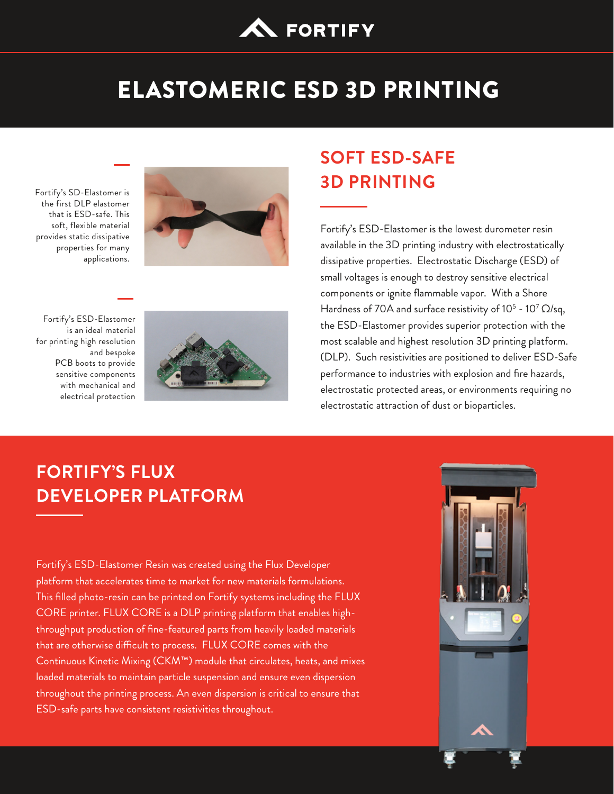

# ELASTOMERIC ESD 3D PRINTING

Fortify's SD-Elastomer is the first DLP elastomer that is ESD-safe. This soft, flexible material provides static dissipative properties for many applications.



Fortify's ESD-Elastomer is an ideal material for printing high resolution and bespoke PCB boots to provide sensitive components with mechanical and electrical protection



## **SOFT ESD-SAFE 3D PRINTING**

Fortify's ESD-Elastomer is the lowest durometer resin available in the 3D printing industry with electrostatically dissipative properties. Electrostatic Discharge (ESD) of small voltages is enough to destroy sensitive electrical components or ignite flammable vapor. With a Shore Hardness of 70A and surface resistivity of 10<sup>5</sup> - 10<sup>7</sup>  $\Omega$ /sq, the ESD-Elastomer provides superior protection with the most scalable and highest resolution 3D printing platform. (DLP). Such resistivities are positioned to deliver ESD-Safe performance to industries with explosion and fire hazards, electrostatic protected areas, or environments requiring no electrostatic attraction of dust or bioparticles.

## **FORTIFY'S FLUX DEVELOPER PLATFORM**

Fortify's ESD-Elastomer Resin was created using the Flux Developer platform that accelerates time to market for new materials formulations. This filled photo-resin can be printed on Fortify systems including the FLUX CORE printer. FLUX CORE is a DLP printing platform that enables highthroughput production of fine-featured parts from heavily loaded materials that are otherwise difficult to process. FLUX CORE comes with the Continuous Kinetic Mixing (CKM™) module that circulates, heats, and mixes loaded materials to maintain particle suspension and ensure even dispersion throughout the printing process. An even dispersion is critical to ensure that ESD-safe parts have consistent resistivities throughout.